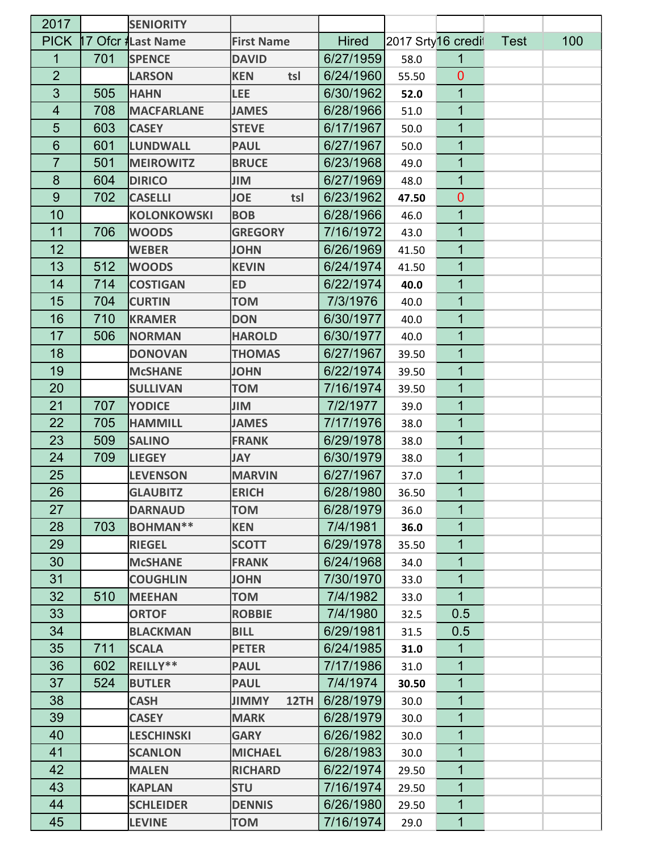| 2017           |     | <b>SENIORITY</b>   |                      |              |       |                    |             |     |
|----------------|-----|--------------------|----------------------|--------------|-------|--------------------|-------------|-----|
| <b>PICK</b>    |     | 17 Ofcr #Last Name | <b>First Name</b>    | <b>Hired</b> |       | 2017 Srty16 credit | <b>Test</b> | 100 |
| 1              | 701 | <b>SPENCE</b>      | <b>DAVID</b>         | 6/27/1959    | 58.0  | 1                  |             |     |
| $\overline{2}$ |     | <b>LARSON</b>      | tsl<br><b>KEN</b>    | 6/24/1960    | 55.50 | $\mathbf{0}$       |             |     |
| 3              | 505 | <b>HAHN</b>        | <b>LEE</b>           | 6/30/1962    | 52.0  | 1                  |             |     |
| 4              | 708 | <b>MACFARLANE</b>  | <b>JAMES</b>         | 6/28/1966    | 51.0  | 1                  |             |     |
| 5              | 603 | <b>CASEY</b>       | <b>STEVE</b>         | 6/17/1967    | 50.0  | 1                  |             |     |
| 6              | 601 | <b>LUNDWALL</b>    | <b>PAUL</b>          | 6/27/1967    | 50.0  | 1                  |             |     |
| $\overline{7}$ | 501 | <b>MEIROWITZ</b>   | <b>BRUCE</b>         | 6/23/1968    | 49.0  | 1                  |             |     |
| 8              | 604 | <b>DIRICO</b>      | JIM                  | 6/27/1969    | 48.0  | 1                  |             |     |
| 9              | 702 | <b>CASELLI</b>     | <b>JOE</b><br>tsl    | 6/23/1962    | 47.50 | $\mathbf{0}$       |             |     |
| 10             |     | <b>KOLONKOWSKI</b> | <b>BOB</b>           | 6/28/1966    | 46.0  | 1                  |             |     |
| 11             | 706 | <b>WOODS</b>       | <b>GREGORY</b>       | 7/16/1972    | 43.0  | 1                  |             |     |
| 12             |     | <b>WEBER</b>       | <b>JOHN</b>          | 6/26/1969    | 41.50 | 1                  |             |     |
| 13             | 512 | <b>WOODS</b>       | <b>KEVIN</b>         | 6/24/1974    | 41.50 | 1                  |             |     |
| 14             | 714 | <b>COSTIGAN</b>    | <b>ED</b>            | 6/22/1974    | 40.0  | 1                  |             |     |
| 15             | 704 | <b>CURTIN</b>      | <b>NOT</b>           | 7/3/1976     | 40.0  | 1                  |             |     |
| 16             | 710 | <b>KRAMER</b>      | <b>DON</b>           | 6/30/1977    | 40.0  | 1                  |             |     |
| 17             | 506 | <b>NORMAN</b>      | <b>HAROLD</b>        | 6/30/1977    | 40.0  | 1                  |             |     |
| 18             |     | <b>DONOVAN</b>     | <b>THOMAS</b>        | 6/27/1967    | 39.50 | 1                  |             |     |
| 19             |     | <b>McSHANE</b>     | <b>JOHN</b>          | 6/22/1974    | 39.50 | 1                  |             |     |
| 20             |     | <b>SULLIVAN</b>    | <b>NOT</b>           | 7/16/1974    | 39.50 | 1                  |             |     |
| 21             | 707 | <b>YODICE</b>      | JIM                  | 7/2/1977     | 39.0  | 1                  |             |     |
| 22             | 705 | <b>HAMMILL</b>     | <b>JAMES</b>         | 7/17/1976    | 38.0  | 1                  |             |     |
| 23             | 509 | <b>SALINO</b>      | <b>FRANK</b>         | 6/29/1978    | 38.0  | 1                  |             |     |
| 24             | 709 | <b>LIEGEY</b>      | <b>YAL</b>           | 6/30/1979    | 38.0  | 1                  |             |     |
| 25             |     | <b>LEVENSON</b>    | <b>MARVIN</b>        | 6/27/1967    | 37.0  | 1                  |             |     |
| 26             |     | <b>GLAUBITZ</b>    | <b>ERICH</b>         | 6/28/1980    | 36.50 | 1                  |             |     |
| 27             |     | <b>DARNAUD</b>     | <b>NOT</b>           | 6/28/1979    | 36.0  | $\mathbf 1$        |             |     |
| 28             | 703 | <b>BOHMAN**</b>    | <b>KEN</b>           | 7/4/1981     | 36.0  | $\mathbf{1}$       |             |     |
| 29             |     | <b>RIEGEL</b>      | <b>SCOTT</b>         | 6/29/1978    | 35.50 | 1                  |             |     |
| 30             |     | <b>McSHANE</b>     | <b>FRANK</b>         | 6/24/1968    | 34.0  | $\mathbf 1$        |             |     |
| 31             |     | <b>COUGHLIN</b>    | <b>JOHN</b>          | 7/30/1970    | 33.0  | $\mathbf{1}$       |             |     |
| 32             | 510 | <b>MEEHAN</b>      | <b>NOT</b>           | 7/4/1982     | 33.0  | 1                  |             |     |
| 33             |     | <b>ORTOF</b>       | <b>ROBBIE</b>        | 7/4/1980     | 32.5  | 0.5                |             |     |
| 34             |     | <b>BLACKMAN</b>    | <b>BILL</b>          | 6/29/1981    | 31.5  | 0.5                |             |     |
| 35             | 711 | <b>SCALA</b>       | <b>PETER</b>         | 6/24/1985    | 31.0  | 1                  |             |     |
| 36             | 602 | REILLY**           | <b>PAUL</b>          | 7/17/1986    | 31.0  | 1                  |             |     |
| 37             | 524 | <b>BUTLER</b>      | <b>PAUL</b>          | 7/4/1974     | 30.50 | $\mathbf 1$        |             |     |
| 38             |     | <b>CASH</b>        | <b>JIMMY</b><br>12TH | 6/28/1979    | 30.0  | 1                  |             |     |
| 39             |     | <b>CASEY</b>       | <b>MARK</b>          | 6/28/1979    | 30.0  | 1                  |             |     |
| 40             |     | <b>LESCHINSKI</b>  | <b>GARY</b>          | 6/26/1982    | 30.0  | $\mathbf{1}$       |             |     |
| 41             |     | <b>SCANLON</b>     | <b>MICHAEL</b>       | 6/28/1983    | 30.0  | 1                  |             |     |
| 42             |     | <b>MALEN</b>       | <b>RICHARD</b>       | 6/22/1974    | 29.50 | $\mathbf{1}$       |             |     |
| 43             |     | <b>KAPLAN</b>      | <b>STU</b>           | 7/16/1974    | 29.50 | $\mathbf{1}$       |             |     |
| 44             |     | <b>SCHLEIDER</b>   | <b>DENNIS</b>        | 6/26/1980    | 29.50 | $\mathbf 1$        |             |     |
| 45             |     | <b>LEVINE</b>      | <b>NOT</b>           | 7/16/1974    | 29.0  | $\mathbf 1$        |             |     |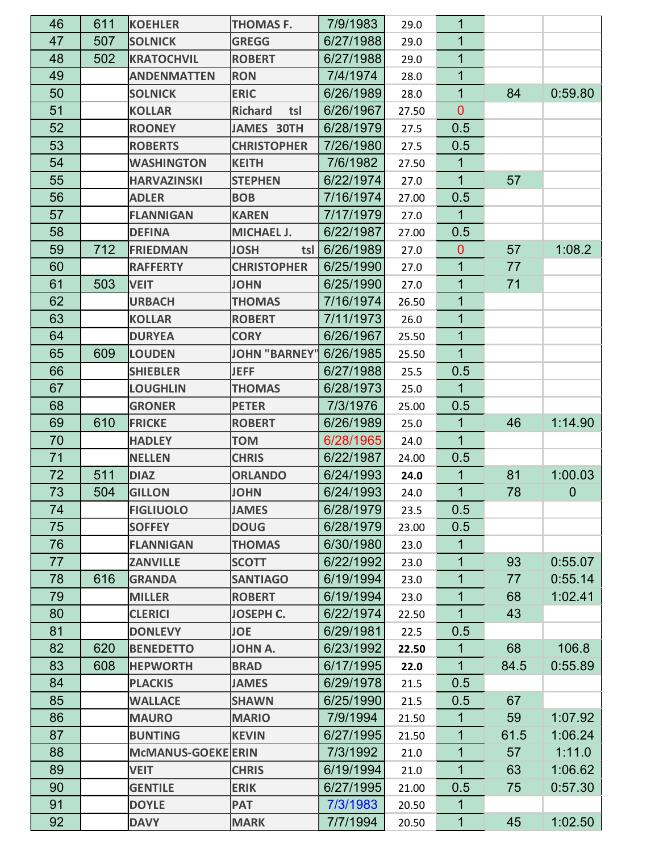| 46 | 611 | <b>KOEHLER</b>     | <b>THOMAS F.</b>      | 7/9/1983  | 29.0  | 1            |      |             |
|----|-----|--------------------|-----------------------|-----------|-------|--------------|------|-------------|
| 47 | 507 | <b>SOLNICK</b>     | <b>GREGG</b>          | 6/27/1988 | 29.0  | 1            |      |             |
| 48 | 502 | <b>KRATOCHVIL</b>  | <b>ROBERT</b>         | 6/27/1988 | 29.0  | 1            |      |             |
| 49 |     | <b>ANDENMATTEN</b> | <b>RON</b>            | 7/4/1974  | 28.0  | 1            |      |             |
| 50 |     | <b>SOLNICK</b>     | <b>ERIC</b>           | 6/26/1989 | 28.0  | 1            | 84   | 0:59.80     |
| 51 |     | <b>KOLLAR</b>      | <b>Richard</b><br>tsl | 6/26/1967 | 27.50 | $\mathbf{0}$ |      |             |
| 52 |     | <b>ROONEY</b>      | JAMES 30TH            | 6/28/1979 | 27.5  | 0.5          |      |             |
| 53 |     | <b>ROBERTS</b>     | <b>CHRISTOPHER</b>    | 7/26/1980 | 27.5  | 0.5          |      |             |
| 54 |     | <b>WASHINGTON</b>  | <b>KEITH</b>          | 7/6/1982  | 27.50 | 1            |      |             |
| 55 |     | <b>HARVAZINSKI</b> | <b>STEPHEN</b>        | 6/22/1974 | 27.0  | $\mathbf 1$  | 57   |             |
| 56 |     | <b>ADLER</b>       | <b>BOB</b>            | 7/16/1974 | 27.00 | 0.5          |      |             |
| 57 |     | <b>FLANNIGAN</b>   | <b>KAREN</b>          | 7/17/1979 | 27.0  | $\mathbf{1}$ |      |             |
| 58 |     | <b>DEFINA</b>      | <b>MICHAEL J.</b>     | 6/22/1987 | 27.00 | 0.5          |      |             |
| 59 | 712 | <b>FRIEDMAN</b>    | <b>JOSH</b><br>tsl    | 6/26/1989 | 27.0  | $\mathbf{0}$ | 57   | 1:08.2      |
| 60 |     | <b>RAFFERTY</b>    | <b>CHRISTOPHER</b>    | 6/25/1990 | 27.0  | $\mathbf{1}$ | 77   |             |
| 61 | 503 | <b>VEIT</b>        | <b>JOHN</b>           | 6/25/1990 | 27.0  | $\mathbf 1$  | 71   |             |
| 62 |     | <b>URBACH</b>      | <b>THOMAS</b>         | 7/16/1974 | 26.50 | 1            |      |             |
| 63 |     | <b>KOLLAR</b>      | <b>ROBERT</b>         | 7/11/1973 | 26.0  | 1            |      |             |
| 64 |     | <b>DURYEA</b>      | <b>CORY</b>           | 6/26/1967 | 25.50 | 1            |      |             |
| 65 | 609 | <b>LOUDEN</b>      | JOHN "BARNEY"         | 6/26/1985 | 25.50 | $\mathbf{1}$ |      |             |
| 66 |     | <b>SHIEBLER</b>    | <b>JEFF</b>           | 6/27/1988 | 25.5  | 0.5          |      |             |
| 67 |     | <b>LOUGHLIN</b>    | <b>THOMAS</b>         | 6/28/1973 | 25.0  | $\mathbf{1}$ |      |             |
| 68 |     | <b>GRONER</b>      | <b>PETER</b>          | 7/3/1976  | 25.00 | 0.5          |      |             |
| 69 | 610 | <b>FRICKE</b>      | <b>ROBERT</b>         | 6/26/1989 | 25.0  | 1            | 46   | 1:14.90     |
| 70 |     | <b>HADLEY</b>      | <b>TOM</b>            | 6/28/1965 | 24.0  | $\mathbf{1}$ |      |             |
| 71 |     | <b>NELLEN</b>      | <b>CHRIS</b>          | 6/22/1987 | 24.00 | 0.5          |      |             |
| 72 | 511 | <b>DIAZ</b>        | <b>ORLANDO</b>        | 6/24/1993 | 24.0  | 1            | 81   | 1:00.03     |
| 73 | 504 | <b>GILLON</b>      | <b>JOHN</b>           | 6/24/1993 | 24.0  | $\mathbf{1}$ | 78   | $\mathbf 0$ |
| 74 |     | <b>FIGLIUOLO</b>   | <b>JAMES</b>          | 6/28/1979 | 23.5  | 0.5          |      |             |
| 75 |     | <b>SOFFEY</b>      | <b>DOUG</b>           | 6/28/1979 | 23.00 | 0.5          |      |             |
| 76 |     | <b>FLANNIGAN</b>   | <b>THOMAS</b>         | 6/30/1980 | 23.0  | 1            |      |             |
| 77 |     | <b>ZANVILLE</b>    | <b>SCOTT</b>          | 6/22/1992 | 23.0  | $\mathbf 1$  | 93   | 0:55.07     |
| 78 | 616 | <b>GRANDA</b>      | <b>SANTIAGO</b>       | 6/19/1994 | 23.0  | $\mathbf 1$  | 77   | 0:55.14     |
| 79 |     | <b>MILLER</b>      | <b>ROBERT</b>         | 6/19/1994 | 23.0  | $\mathbf{1}$ | 68   | 1:02.41     |
| 80 |     | <b>CLERICI</b>     | <b>JOSEPH C.</b>      | 6/22/1974 | 22.50 | $\mathbf{1}$ | 43   |             |
| 81 |     | <b>DONLEVY</b>     | <b>JOE</b>            | 6/29/1981 | 22.5  | 0.5          |      |             |
| 82 | 620 | <b>BENEDETTO</b>   | <b>JOHN A.</b>        | 6/23/1992 | 22.50 | $\mathbf 1$  | 68   | 106.8       |
| 83 | 608 | <b>HEPWORTH</b>    | <b>BRAD</b>           | 6/17/1995 | 22.0  | $\mathbf{1}$ | 84.5 | 0:55.89     |
| 84 |     | <b>PLACKIS</b>     | <b>JAMES</b>          | 6/29/1978 | 21.5  | 0.5          |      |             |
| 85 |     | <b>WALLACE</b>     | <b>SHAWN</b>          | 6/25/1990 | 21.5  | 0.5          | 67   |             |
| 86 |     | <b>MAURO</b>       | <b>MARIO</b>          | 7/9/1994  | 21.50 | 1            | 59   | 1:07.92     |
| 87 |     | <b>BUNTING</b>     | <b>KEVIN</b>          | 6/27/1995 | 21.50 | $\mathbf 1$  | 61.5 | 1:06.24     |
| 88 |     | McMANUS-GOEKE ERIN |                       | 7/3/1992  | 21.0  | $\mathbf 1$  | 57   | 1:11.0      |
| 89 |     | <b>VEIT</b>        | <b>CHRIS</b>          | 6/19/1994 | 21.0  | $\mathbf{1}$ | 63   | 1:06.62     |
| 90 |     | <b>GENTILE</b>     | <b>ERIK</b>           | 6/27/1995 | 21.00 | 0.5          | 75   | 0:57.30     |
| 91 |     | <b>DOYLE</b>       | <b>PAT</b>            | 7/3/1983  | 20.50 | $\mathbf 1$  |      |             |
| 92 |     | <b>DAVY</b>        | <b>MARK</b>           | 7/7/1994  | 20.50 | $\mathbf{1}$ | 45   | 1:02.50     |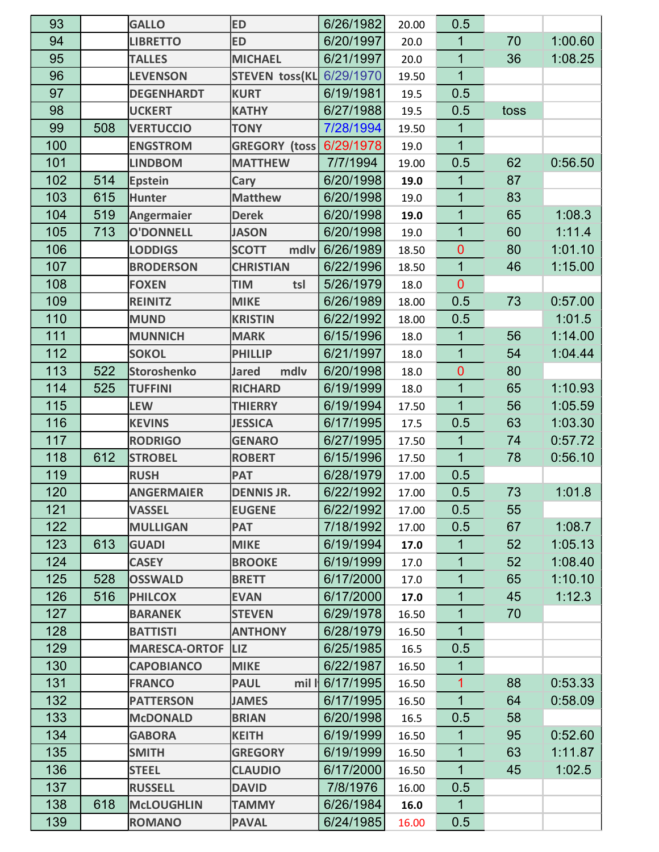| 93  |     | <b>GALLO</b>         | <b>ED</b>             | 6/26/1982 | 20.00 | 0.5            |      |         |
|-----|-----|----------------------|-----------------------|-----------|-------|----------------|------|---------|
| 94  |     | <b>LIBRETTO</b>      | <b>ED</b>             | 6/20/1997 | 20.0  | 1              | 70   | 1:00.60 |
| 95  |     | <b>TALLES</b>        | <b>MICHAEL</b>        | 6/21/1997 | 20.0  | $\mathbf 1$    | 36   | 1:08.25 |
| 96  |     | <b>LEVENSON</b>      | STEVEN toss(KL        | 6/29/1970 | 19.50 | 1              |      |         |
| 97  |     | <b>DEGENHARDT</b>    | <b>KURT</b>           | 6/19/1981 | 19.5  | 0.5            |      |         |
| 98  |     | <b>UCKERT</b>        | <b>KATHY</b>          | 6/27/1988 | 19.5  | 0.5            | toss |         |
| 99  | 508 | <b>VERTUCCIO</b>     | <b>TONY</b>           | 7/28/1994 | 19.50 | 1              |      |         |
| 100 |     | <b>ENGSTROM</b>      | <b>GREGORY (toss)</b> | 6/29/1978 | 19.0  | $\overline{1}$ |      |         |
| 101 |     | <b>LINDBOM</b>       | <b>MATTHEW</b>        | 7/7/1994  | 19.00 | 0.5            | 62   | 0:56.50 |
| 102 | 514 | <b>Epstein</b>       | Cary                  | 6/20/1998 | 19.0  | 1              | 87   |         |
| 103 | 615 | <b>Hunter</b>        | <b>Matthew</b>        | 6/20/1998 | 19.0  | 1              | 83   |         |
| 104 | 519 | <b>Angermaier</b>    | <b>Derek</b>          | 6/20/1998 | 19.0  | $\mathbf{1}$   | 65   | 1:08.3  |
| 105 | 713 | <b>O'DONNELL</b>     | <b>JASON</b>          | 6/20/1998 | 19.0  | $\mathbf{1}$   | 60   | 1:11.4  |
| 106 |     | <b>LODDIGS</b>       | <b>SCOTT</b><br>mdlv  | 6/26/1989 | 18.50 | $\overline{0}$ | 80   | 1:01.10 |
| 107 |     | <b>BRODERSON</b>     | <b>CHRISTIAN</b>      | 6/22/1996 | 18.50 | $\mathbf 1$    | 46   | 1:15.00 |
| 108 |     | <b>FOXEN</b>         | <b>TIM</b><br>tsl     | 5/26/1979 | 18.0  | $\overline{0}$ |      |         |
| 109 |     | <b>REINITZ</b>       | <b>MIKE</b>           | 6/26/1989 | 18.00 | 0.5            | 73   | 0:57.00 |
| 110 |     | <b>MUND</b>          | <b>KRISTIN</b>        | 6/22/1992 | 18.00 | 0.5            |      | 1:01.5  |
| 111 |     | <b>MUNNICH</b>       | <b>MARK</b>           | 6/15/1996 | 18.0  | 1              | 56   | 1:14.00 |
| 112 |     | <b>SOKOL</b>         | <b>PHILLIP</b>        | 6/21/1997 | 18.0  | $\mathbf{1}$   | 54   | 1:04.44 |
| 113 | 522 | <b>Storoshenko</b>   | mdlv<br><b>Jared</b>  | 6/20/1998 | 18.0  | $\overline{0}$ | 80   |         |
| 114 | 525 | <b>TUFFINI</b>       | <b>RICHARD</b>        | 6/19/1999 | 18.0  | $\mathbf{1}$   | 65   | 1:10.93 |
| 115 |     | <b>LEW</b>           | <b>THIERRY</b>        | 6/19/1994 | 17.50 | $\mathbf{1}$   | 56   | 1:05.59 |
| 116 |     | <b>KEVINS</b>        | <b>JESSICA</b>        | 6/17/1995 | 17.5  | 0.5            | 63   | 1:03.30 |
| 117 |     | <b>RODRIGO</b>       | <b>GENARO</b>         | 6/27/1995 | 17.50 | $\mathbf{1}$   | 74   | 0:57.72 |
| 118 | 612 | <b>STROBEL</b>       | <b>ROBERT</b>         | 6/15/1996 | 17.50 | $\mathbf{1}$   | 78   | 0:56.10 |
| 119 |     | <b>RUSH</b>          | <b>PAT</b>            | 6/28/1979 | 17.00 | 0.5            |      |         |
| 120 |     | <b>ANGERMAIER</b>    | <b>DENNIS JR.</b>     | 6/22/1992 | 17.00 | 0.5            | 73   | 1:01.8  |
| 121 |     | <b>VASSEL</b>        | <b>EUGENE</b>         | 6/22/1992 | 17.00 | 0.5            | 55   |         |
| 122 |     | <b>MULLIGAN</b>      | <b>PAT</b>            | 7/18/1992 | 17.00 | 0.5            | 67   | 1:08.7  |
| 123 | 613 | <b>GUADI</b>         | <b>MIKE</b>           | 6/19/1994 | 17.0  | 1              | 52   | 1:05.13 |
| 124 |     | <b>CASEY</b>         | <b>BROOKE</b>         | 6/19/1999 | 17.0  | 1              | 52   | 1:08.40 |
| 125 | 528 | <b>OSSWALD</b>       | <b>BRETT</b>          | 6/17/2000 | 17.0  | 1              | 65   | 1:10.10 |
| 126 | 516 | <b>PHILCOX</b>       | <b>EVAN</b>           | 6/17/2000 | 17.0  | $\mathbf{1}$   | 45   | 1:12.3  |
| 127 |     | <b>BARANEK</b>       | <b>STEVEN</b>         | 6/29/1978 | 16.50 | 1              | 70   |         |
| 128 |     | <b>BATTISTI</b>      | <b>ANTHONY</b>        | 6/28/1979 | 16.50 | 1              |      |         |
| 129 |     | <b>MARESCA-ORTOF</b> | <b>LIZ</b>            | 6/25/1985 | 16.5  | 0.5            |      |         |
| 130 |     | <b>CAPOBIANCO</b>    | <b>MIKE</b>           | 6/22/1987 | 16.50 | $\mathbf 1$    |      |         |
| 131 |     | <b>FRANCO</b>        | <b>PAUL</b><br>mil    | 6/17/1995 | 16.50 | 1              | 88   | 0:53.33 |
| 132 |     | <b>PATTERSON</b>     | <b>JAMES</b>          | 6/17/1995 | 16.50 | $\mathbf{1}$   | 64   | 0:58.09 |
| 133 |     | <b>McDONALD</b>      | <b>BRIAN</b>          | 6/20/1998 | 16.5  | 0.5            | 58   |         |
| 134 |     | <b>GABORA</b>        | <b>KEITH</b>          | 6/19/1999 | 16.50 | 1              | 95   | 0:52.60 |
| 135 |     | <b>SMITH</b>         | <b>GREGORY</b>        | 6/19/1999 | 16.50 | 1              | 63   | 1:11.87 |
| 136 |     | <b>STEEL</b>         | <b>CLAUDIO</b>        | 6/17/2000 | 16.50 | $\mathbf{1}$   | 45   | 1:02.5  |
| 137 |     | <b>RUSSELL</b>       | <b>DAVID</b>          | 7/8/1976  | 16.00 | 0.5            |      |         |
| 138 | 618 | <b>McLOUGHLIN</b>    | <b>TAMMY</b>          | 6/26/1984 | 16.0  | 1              |      |         |
| 139 |     | <b>ROMANO</b>        | <b>PAVAL</b>          | 6/24/1985 | 16.00 | 0.5            |      |         |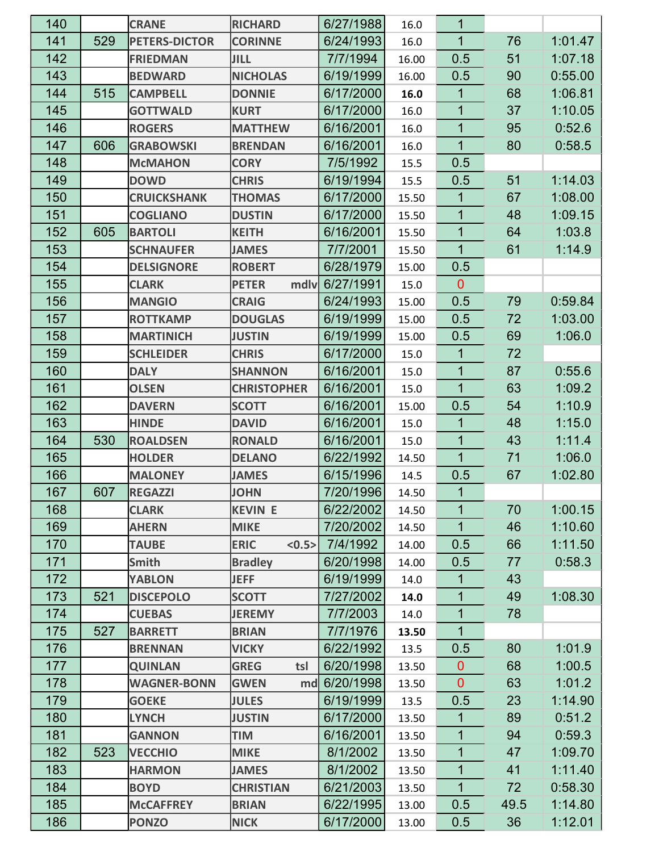| 140 |     | <b>CRANE</b>         | <b>RICHARD</b>         | 6/27/1988 | 16.0  | 1              |      |         |
|-----|-----|----------------------|------------------------|-----------|-------|----------------|------|---------|
| 141 | 529 | <b>PETERS-DICTOR</b> | <b>CORINNE</b>         | 6/24/1993 | 16.0  | $\mathbf{1}$   | 76   | 1:01.47 |
| 142 |     | <b>FRIEDMAN</b>      | JILL                   | 7/7/1994  | 16.00 | 0.5            | 51   | 1:07.18 |
| 143 |     | <b>BEDWARD</b>       | <b>NICHOLAS</b>        | 6/19/1999 | 16.00 | 0.5            | 90   | 0:55.00 |
| 144 | 515 | <b>CAMPBELL</b>      | <b>DONNIE</b>          | 6/17/2000 | 16.0  | 1              | 68   | 1:06.81 |
| 145 |     | <b>GOTTWALD</b>      | <b>KURT</b>            | 6/17/2000 | 16.0  | 1              | 37   | 1:10.05 |
| 146 |     | <b>ROGERS</b>        | <b>MATTHEW</b>         | 6/16/2001 | 16.0  | 1              | 95   | 0:52.6  |
| 147 | 606 | <b>GRABOWSKI</b>     | <b>BRENDAN</b>         | 6/16/2001 | 16.0  | $\mathbf{1}$   | 80   | 0:58.5  |
| 148 |     | <b>McMAHON</b>       | <b>CORY</b>            | 7/5/1992  | 15.5  | 0.5            |      |         |
| 149 |     | <b>DOWD</b>          | <b>CHRIS</b>           | 6/19/1994 | 15.5  | 0.5            | 51   | 1:14.03 |
| 150 |     | <b>CRUICKSHANK</b>   | <b>THOMAS</b>          | 6/17/2000 | 15.50 | 1              | 67   | 1:08.00 |
| 151 |     | <b>COGLIANO</b>      | <b>DUSTIN</b>          | 6/17/2000 | 15.50 | 1              | 48   | 1:09.15 |
| 152 | 605 | <b>BARTOLI</b>       | <b>KEITH</b>           | 6/16/2001 | 15.50 | 1              | 64   | 1:03.8  |
| 153 |     | <b>SCHNAUFER</b>     | <b>JAMES</b>           | 7/7/2001  | 15.50 | 1              | 61   | 1:14.9  |
| 154 |     | <b>DELSIGNORE</b>    | <b>ROBERT</b>          | 6/28/1979 | 15.00 | 0.5            |      |         |
| 155 |     | <b>CLARK</b>         | mdlv<br><b>PETER</b>   | 6/27/1991 | 15.0  | $\mathbf{0}$   |      |         |
| 156 |     | <b>MANGIO</b>        | <b>CRAIG</b>           | 6/24/1993 | 15.00 | 0.5            | 79   | 0:59.84 |
| 157 |     | <b>ROTTKAMP</b>      | <b>DOUGLAS</b>         | 6/19/1999 | 15.00 | 0.5            | 72   | 1:03.00 |
| 158 |     | <b>MARTINICH</b>     | <b>JUSTIN</b>          | 6/19/1999 | 15.00 | 0.5            | 69   | 1:06.0  |
| 159 |     | <b>SCHLEIDER</b>     | <b>CHRIS</b>           | 6/17/2000 | 15.0  | 1              | 72   |         |
| 160 |     | <b>DALY</b>          | <b>SHANNON</b>         | 6/16/2001 | 15.0  | 1              | 87   | 0.55.6  |
| 161 |     | <b>OLSEN</b>         | <b>CHRISTOPHER</b>     | 6/16/2001 | 15.0  | 1              | 63   | 1:09.2  |
| 162 |     | <b>DAVERN</b>        | <b>SCOTT</b>           | 6/16/2001 | 15.00 | 0.5            | 54   | 1:10.9  |
| 163 |     | <b>HINDE</b>         | <b>DAVID</b>           | 6/16/2001 | 15.0  | 1              | 48   | 1:15.0  |
| 164 | 530 | <b>ROALDSEN</b>      | <b>RONALD</b>          | 6/16/2001 | 15.0  | 1              | 43   | 1:11.4  |
| 165 |     | <b>HOLDER</b>        | <b>DELANO</b>          | 6/22/1992 | 14.50 | 1              | 71   | 1:06.0  |
| 166 |     | <b>MALONEY</b>       | <b>JAMES</b>           | 6/15/1996 | 14.5  | 0.5            | 67   | 1:02.80 |
| 167 | 607 | <b>REGAZZI</b>       | <b>JOHN</b>            | 7/20/1996 | 14.50 | $\mathbf{1}$   |      |         |
| 168 |     | <b>CLARK</b>         | <b>KEVIN E</b>         | 6/22/2002 | 14.50 | 1              | 70   | 1:00.15 |
| 169 |     | <b>AHERN</b>         | <b>MIKE</b>            | 7/20/2002 | 14.50 | $\mathbf 1$    | 46   | 1:10.60 |
| 170 |     | <b>TAUBE</b>         | <b>ERIC</b><br>< 0.5 > | 7/4/1992  | 14.00 | 0.5            | 66   | 1:11.50 |
| 171 |     | <b>Smith</b>         | <b>Bradley</b>         | 6/20/1998 | 14.00 | 0.5            | 77   | 0:58.3  |
| 172 |     | <b>YABLON</b>        | <b>JEFF</b>            | 6/19/1999 | 14.0  | 1              | 43   |         |
| 173 | 521 | <b>DISCEPOLO</b>     | <b>SCOTT</b>           | 7/27/2002 | 14.0  | $\mathbf{1}$   | 49   | 1:08.30 |
| 174 |     | <b>CUEBAS</b>        | <b>JEREMY</b>          | 7/7/2003  | 14.0  | 1              | 78   |         |
| 175 | 527 | <b>BARRETT</b>       | <b>BRIAN</b>           | 7/7/1976  | 13.50 | $\mathbf 1$    |      |         |
| 176 |     | <b>BRENNAN</b>       | <b>VICKY</b>           | 6/22/1992 | 13.5  | 0.5            | 80   | 1:01.9  |
| 177 |     | <b>QUINLAN</b>       | <b>GREG</b><br>tsl     | 6/20/1998 | 13.50 | $\mathbf{0}$   | 68   | 1:00.5  |
| 178 |     | <b>WAGNER-BONN</b>   | <b>GWEN</b><br>md      | 6/20/1998 | 13.50 | $\overline{0}$ | 63   | 1:01.2  |
| 179 |     | <b>GOEKE</b>         | <b>JULES</b>           | 6/19/1999 | 13.5  | 0.5            | 23   | 1:14.90 |
| 180 |     | <b>LYNCH</b>         | <b>JUSTIN</b>          | 6/17/2000 | 13.50 | 1              | 89   | 0:51.2  |
| 181 |     | <b>GANNON</b>        | <b>TIM</b>             | 6/16/2001 | 13.50 | $\mathbf{1}$   | 94   | 0:59.3  |
| 182 | 523 | <b>VECCHIO</b>       | <b>MIKE</b>            | 8/1/2002  | 13.50 | $\mathbf 1$    | 47   | 1:09.70 |
| 183 |     | <b>HARMON</b>        | <b>JAMES</b>           | 8/1/2002  | 13.50 | 1              | 41   | 1:11.40 |
| 184 |     | <b>BOYD</b>          | <b>CHRISTIAN</b>       | 6/21/2003 | 13.50 | $\mathbf{1}$   | 72   | 0:58.30 |
| 185 |     | <b>McCAFFREY</b>     | <b>BRIAN</b>           | 6/22/1995 | 13.00 | 0.5            | 49.5 | 1:14.80 |
| 186 |     | <b>PONZO</b>         | <b>NICK</b>            | 6/17/2000 | 13.00 | 0.5            | 36   | 1:12.01 |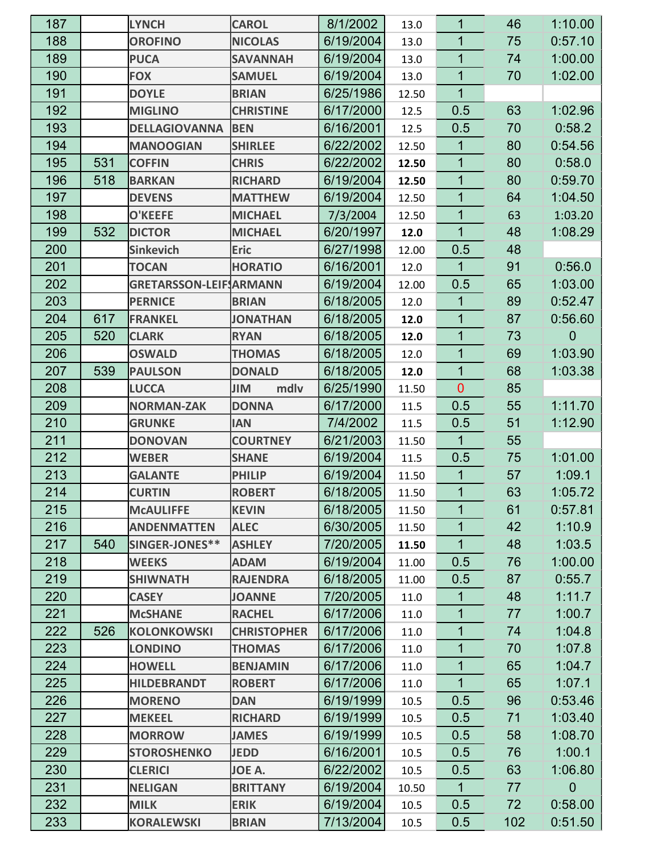| 187 |     | <b>LYNCH</b>                  | <b>CAROL</b>       | 8/1/2002  | 13.0  | 1            | 46  | 1:10.00     |
|-----|-----|-------------------------------|--------------------|-----------|-------|--------------|-----|-------------|
| 188 |     | <b>OROFINO</b>                | <b>NICOLAS</b>     | 6/19/2004 | 13.0  | 1            | 75  | 0:57.10     |
| 189 |     | <b>PUCA</b>                   | <b>SAVANNAH</b>    | 6/19/2004 | 13.0  | 1            | 74  | 1:00.00     |
| 190 |     | <b>FOX</b>                    | <b>SAMUEL</b>      | 6/19/2004 | 13.0  | 1            | 70  | 1:02.00     |
| 191 |     | <b>DOYLE</b>                  | <b>BRIAN</b>       | 6/25/1986 | 12.50 | $\mathbf{1}$ |     |             |
| 192 |     | <b>MIGLINO</b>                | <b>CHRISTINE</b>   | 6/17/2000 | 12.5  | 0.5          | 63  | 1:02.96     |
| 193 |     | <b>DELLAGIOVANNA</b>          | <b>BEN</b>         | 6/16/2001 | 12.5  | 0.5          | 70  | 0:58.2      |
| 194 |     | <b>MANOOGIAN</b>              | <b>SHIRLEE</b>     | 6/22/2002 | 12.50 | 1            | 80  | 0:54.56     |
| 195 | 531 | <b>COFFIN</b>                 | <b>CHRIS</b>       | 6/22/2002 | 12.50 | 1            | 80  | 0.58.0      |
| 196 | 518 | <b>BARKAN</b>                 | <b>RICHARD</b>     | 6/19/2004 | 12.50 | 1            | 80  | 0:59.70     |
| 197 |     | <b>DEVENS</b>                 | <b>MATTHEW</b>     | 6/19/2004 | 12.50 | 1            | 64  | 1:04.50     |
| 198 |     | <b>O'KEEFE</b>                | <b>MICHAEL</b>     | 7/3/2004  | 12.50 | 1            | 63  | 1:03.20     |
| 199 | 532 | <b>DICTOR</b>                 | <b>MICHAEL</b>     | 6/20/1997 | 12.0  | $\mathbf 1$  | 48  | 1:08.29     |
| 200 |     | <b>Sinkevich</b>              | <b>Eric</b>        | 6/27/1998 | 12.00 | 0.5          | 48  |             |
| 201 |     | <b>TOCAN</b>                  | <b>HORATIO</b>     | 6/16/2001 | 12.0  | 1            | 91  | 0:56.0      |
| 202 |     | <b>GRETARSSON-LEIF ARMANN</b> |                    | 6/19/2004 | 12.00 | 0.5          | 65  | 1:03.00     |
| 203 |     | <b>PERNICE</b>                | <b>BRIAN</b>       | 6/18/2005 | 12.0  | 1            | 89  | 0:52.47     |
| 204 | 617 | <b>FRANKEL</b>                | <b>JONATHAN</b>    | 6/18/2005 | 12.0  | 1            | 87  | 0:56.60     |
| 205 | 520 | <b>CLARK</b>                  | <b>RYAN</b>        | 6/18/2005 | 12.0  | 1            | 73  | 0           |
| 206 |     | <b>OSWALD</b>                 | <b>THOMAS</b>      | 6/18/2005 | 12.0  | $\mathbf{1}$ | 69  | 1:03.90     |
| 207 | 539 | <b>PAULSON</b>                | <b>DONALD</b>      | 6/18/2005 | 12.0  | $\mathbf 1$  | 68  | 1:03.38     |
| 208 |     | <b>LUCCA</b>                  | mdlv<br>JIM        | 6/25/1990 | 11.50 | $\mathbf 0$  | 85  |             |
| 209 |     | <b>NORMAN-ZAK</b>             | <b>DONNA</b>       | 6/17/2000 | 11.5  | 0.5          | 55  | 1:11.70     |
| 210 |     | <b>GRUNKE</b>                 | <b>IAN</b>         | 7/4/2002  | 11.5  | 0.5          | 51  | 1:12.90     |
| 211 |     | <b>DONOVAN</b>                | <b>COURTNEY</b>    | 6/21/2003 | 11.50 | $\mathbf{1}$ | 55  |             |
| 212 |     | <b>WEBER</b>                  | <b>SHANE</b>       | 6/19/2004 | 11.5  | 0.5          | 75  | 1:01.00     |
| 213 |     | <b>GALANTE</b>                | <b>PHILIP</b>      | 6/19/2004 | 11.50 | 1            | 57  | 1:09.1      |
| 214 |     | <b>CURTIN</b>                 | <b>ROBERT</b>      | 6/18/2005 | 11.50 | $\mathbf{1}$ | 63  | 1:05.72     |
| 215 |     | <b>MCAULIFFE</b>              | <b>KEVIN</b>       | 6/18/2005 | 11.50 | 1            | 61  | 0.57.81     |
| 216 |     | <b>ANDENMATTEN</b>            | <b>ALEC</b>        | 6/30/2005 | 11.50 | 1            | 42  | 1:10.9      |
| 217 | 540 | SINGER-JONES**                | <b>ASHLEY</b>      | 7/20/2005 | 11.50 | $\mathbf{1}$ | 48  | 1:03.5      |
| 218 |     | <b>WEEKS</b>                  | <b>ADAM</b>        | 6/19/2004 | 11.00 | 0.5          | 76  | 1:00.00     |
| 219 |     | <b>SHIWNATH</b>               | <b>RAJENDRA</b>    | 6/18/2005 | 11.00 | 0.5          | 87  | 0.55.7      |
| 220 |     | <b>CASEY</b>                  | <b>JOANNE</b>      | 7/20/2005 | 11.0  | $\mathbf{1}$ | 48  | 1:11.7      |
| 221 |     | <b>McSHANE</b>                | <b>RACHEL</b>      | 6/17/2006 | 11.0  | 1            | 77  | 1:00.7      |
| 222 | 526 | <b>KOLONKOWSKI</b>            | <b>CHRISTOPHER</b> | 6/17/2006 | 11.0  | $\mathbf{1}$ | 74  | 1:04.8      |
| 223 |     | <b>LONDINO</b>                | <b>THOMAS</b>      | 6/17/2006 | 11.0  | $\mathbf{1}$ | 70  | 1:07.8      |
| 224 |     | <b>HOWELL</b>                 | <b>BENJAMIN</b>    | 6/17/2006 | 11.0  | 1            | 65  | 1.04.7      |
| 225 |     | <b>HILDEBRANDT</b>            | <b>ROBERT</b>      | 6/17/2006 | 11.0  | $\mathbf{1}$ | 65  | 1:07.1      |
| 226 |     | <b>MORENO</b>                 | <b>DAN</b>         | 6/19/1999 | 10.5  | 0.5          | 96  | 0:53.46     |
| 227 |     | <b>MEKEEL</b>                 | <b>RICHARD</b>     | 6/19/1999 | 10.5  | 0.5          | 71  | 1:03.40     |
| 228 |     | <b>MORROW</b>                 | <b>JAMES</b>       | 6/19/1999 | 10.5  | 0.5          | 58  | 1:08.70     |
| 229 |     | <b>STOROSHENKO</b>            | <b>JEDD</b>        | 6/16/2001 | 10.5  | 0.5          | 76  | 1:00.1      |
| 230 |     | <b>CLERICI</b>                | JOE A.             | 6/22/2002 | 10.5  | 0.5          | 63  | 1:06.80     |
| 231 |     | <b>NELIGAN</b>                | <b>BRITTANY</b>    | 6/19/2004 | 10.50 | $\mathbf{1}$ | 77  | $\mathbf 0$ |
| 232 |     | <b>MILK</b>                   | <b>ERIK</b>        | 6/19/2004 | 10.5  | 0.5          | 72  | 0:58.00     |
| 233 |     | <b>KORALEWSKI</b>             | <b>BRIAN</b>       | 7/13/2004 | 10.5  | 0.5          | 102 | 0:51.50     |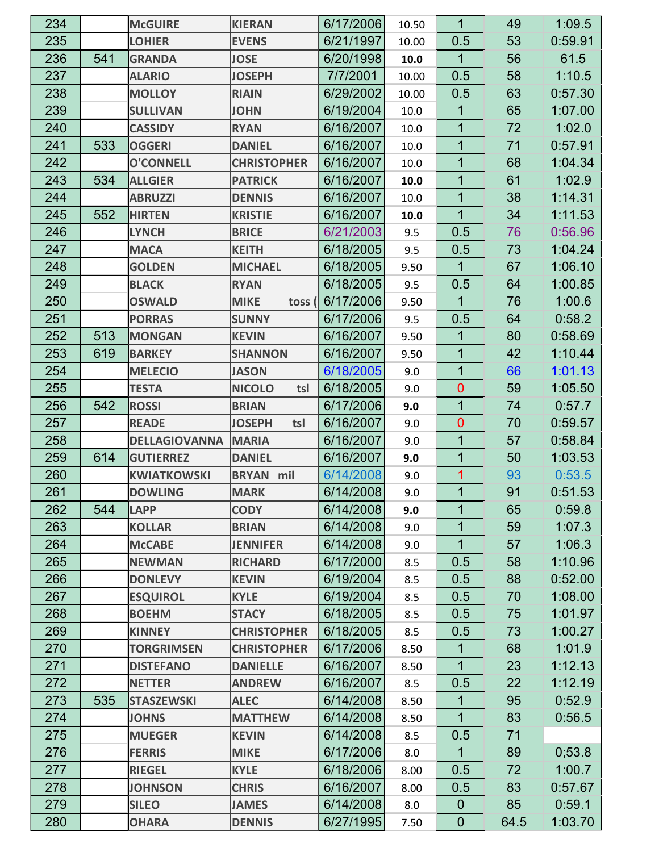| 234 |     | <b>McGUIRE</b>       | <b>KIERAN</b>        | 6/17/2006 | 10.50 | 1              | 49   | 1:09.5  |
|-----|-----|----------------------|----------------------|-----------|-------|----------------|------|---------|
| 235 |     | <b>LOHIER</b>        | <b>EVENS</b>         | 6/21/1997 | 10.00 | 0.5            | 53   | 0:59.91 |
| 236 | 541 | <b>GRANDA</b>        | <b>JOSE</b>          | 6/20/1998 | 10.0  | $\overline{1}$ | 56   | 61.5    |
| 237 |     | <b>ALARIO</b>        | <b>JOSEPH</b>        | 7/7/2001  | 10.00 | 0.5            | 58   | 1:10.5  |
| 238 |     | <b>MOLLOY</b>        | <b>RIAIN</b>         | 6/29/2002 | 10.00 | 0.5            | 63   | 0:57.30 |
| 239 |     | <b>SULLIVAN</b>      | <b>JOHN</b>          | 6/19/2004 | 10.0  | $\mathbf{1}$   | 65   | 1:07.00 |
| 240 |     | <b>CASSIDY</b>       | <b>RYAN</b>          | 6/16/2007 | 10.0  | 1              | 72   | 1:02.0  |
| 241 | 533 | <b>OGGERI</b>        | <b>DANIEL</b>        | 6/16/2007 | 10.0  | $\overline{1}$ | 71   | 0:57.91 |
| 242 |     | <b>O'CONNELL</b>     | <b>CHRISTOPHER</b>   | 6/16/2007 | 10.0  | $\mathbf{1}$   | 68   | 1:04.34 |
| 243 | 534 | <b>ALLGIER</b>       | <b>PATRICK</b>       | 6/16/2007 | 10.0  | 1              | 61   | 1:02.9  |
| 244 |     | <b>ABRUZZI</b>       | <b>DENNIS</b>        | 6/16/2007 | 10.0  | $\overline{1}$ | 38   | 1:14.31 |
| 245 | 552 | <b>HIRTEN</b>        | <b>KRISTIE</b>       | 6/16/2007 | 10.0  | $\mathbf{1}$   | 34   | 1:11.53 |
| 246 |     | <b>LYNCH</b>         | <b>BRICE</b>         | 6/21/2003 | 9.5   | 0.5            | 76   | 0:56.96 |
| 247 |     | <b>MACA</b>          | <b>KEITH</b>         | 6/18/2005 | 9.5   | 0.5            | 73   | 1:04.24 |
| 248 |     | <b>GOLDEN</b>        | <b>MICHAEL</b>       | 6/18/2005 | 9.50  | 1              | 67   | 1:06.10 |
| 249 |     | <b>BLACK</b>         | <b>RYAN</b>          | 6/18/2005 | 9.5   | 0.5            | 64   | 1:00.85 |
| 250 |     | <b>OSWALD</b>        | <b>MIKE</b><br>toss  | 6/17/2006 | 9.50  | $\mathbf 1$    | 76   | 1:00.6  |
| 251 |     | <b>PORRAS</b>        | <b>SUNNY</b>         | 6/17/2006 | 9.5   | 0.5            | 64   | 0:58.2  |
| 252 | 513 | <b>MONGAN</b>        | <b>KEVIN</b>         | 6/16/2007 | 9.50  | 1              | 80   | 0:58.69 |
| 253 | 619 | <b>BARKEY</b>        | <b>SHANNON</b>       | 6/16/2007 | 9.50  | 1              | 42   | 1:10.44 |
| 254 |     | <b>MELECIO</b>       | <b>JASON</b>         | 6/18/2005 | 9.0   | $\mathbf{1}$   | 66   | 1:01.13 |
| 255 |     | <b>TESTA</b>         | <b>NICOLO</b><br>tsl | 6/18/2005 | 9.0   | $\mathbf 0$    | 59   | 1:05.50 |
| 256 | 542 | <b>ROSSI</b>         | <b>BRIAN</b>         | 6/17/2006 | 9.0   | $\mathbf{1}$   | 74   | 0.57.7  |
| 257 |     | <b>READE</b>         | <b>JOSEPH</b><br>tsl | 6/16/2007 | 9.0   | $\mathbf 0$    | 70   | 0:59.57 |
| 258 |     | <b>DELLAGIOVANNA</b> | <b>MARIA</b>         | 6/16/2007 | 9.0   | $\mathbf 1$    | 57   | 0.58.84 |
| 259 | 614 | <b>GUTIERREZ</b>     | <b>DANIEL</b>        | 6/16/2007 | 9.0   | $\mathbf 1$    | 50   | 1:03.53 |
| 260 |     | <b>KWIATKOWSKI</b>   | <b>BRYAN</b> mil     | 6/14/2008 | 9.0   | 1              | 93   | 0:53.5  |
| 261 |     | <b>DOWLING</b>       | <b>MARK</b>          | 6/14/2008 | 9.0   | $\overline{1}$ | 91   | 0:51.53 |
| 262 | 544 | <b>LAPP</b>          | <b>CODY</b>          | 6/14/2008 | 9.0   | $\mathbf 1$    | 65   | 0.59.8  |
| 263 |     | <b>KOLLAR</b>        | <b>BRIAN</b>         | 6/14/2008 | 9.0   | $\mathbf 1$    | 59   | 1:07.3  |
| 264 |     | <b>McCABE</b>        | <b>JENNIFER</b>      | 6/14/2008 | 9.0   | $\overline{1}$ | 57   | 1:06.3  |
| 265 |     | <b>NEWMAN</b>        | <b>RICHARD</b>       | 6/17/2000 | 8.5   | 0.5            | 58   | 1:10.96 |
| 266 |     | <b>DONLEVY</b>       | <b>KEVIN</b>         | 6/19/2004 | 8.5   | 0.5            | 88   | 0:52.00 |
| 267 |     | <b>ESQUIROL</b>      | <b>KYLE</b>          | 6/19/2004 | 8.5   | 0.5            | 70   | 1:08.00 |
| 268 |     | <b>BOEHM</b>         | <b>STACY</b>         | 6/18/2005 | 8.5   | 0.5            | 75   | 1:01.97 |
| 269 |     | <b>KINNEY</b>        | <b>CHRISTOPHER</b>   | 6/18/2005 | 8.5   | 0.5            | 73   | 1:00.27 |
| 270 |     | <b>TORGRIMSEN</b>    | <b>CHRISTOPHER</b>   | 6/17/2006 | 8.50  | $\mathbf{1}$   | 68   | 1:01.9  |
| 271 |     | <b>DISTEFANO</b>     | <b>DANIELLE</b>      | 6/16/2007 | 8.50  | $\mathbf{1}$   | 23   | 1:12.13 |
| 272 |     | <b>NETTER</b>        | <b>ANDREW</b>        | 6/16/2007 | 8.5   | 0.5            | 22   | 1:12.19 |
| 273 | 535 | <b>STASZEWSKI</b>    | <b>ALEC</b>          | 6/14/2008 | 8.50  | $\mathbf{1}$   | 95   | 0.52.9  |
| 274 |     | <b>JOHNS</b>         | <b>MATTHEW</b>       | 6/14/2008 | 8.50  | $\mathbf{1}$   | 83   | 0:56.5  |
| 275 |     | <b>MUEGER</b>        | <b>KEVIN</b>         | 6/14/2008 | 8.5   | 0.5            | 71   |         |
| 276 |     | <b>FERRIS</b>        | <b>MIKE</b>          | 6/17/2006 | 8.0   | $\mathbf{1}$   | 89   | 0,53.8  |
| 277 |     | <b>RIEGEL</b>        | <b>KYLE</b>          | 6/18/2006 | 8.00  | 0.5            | 72   | 1:00.7  |
| 278 |     | <b>JOHNSON</b>       | <b>CHRIS</b>         | 6/16/2007 | 8.00  | 0.5            | 83   | 0:57.67 |
| 279 |     | <b>SILEO</b>         | <b>JAMES</b>         | 6/14/2008 | 8.0   | $\mathbf 0$    | 85   | 0:59.1  |
| 280 |     | <b>OHARA</b>         | <b>DENNIS</b>        | 6/27/1995 | 7.50  | $\theta$       | 64.5 | 1:03.70 |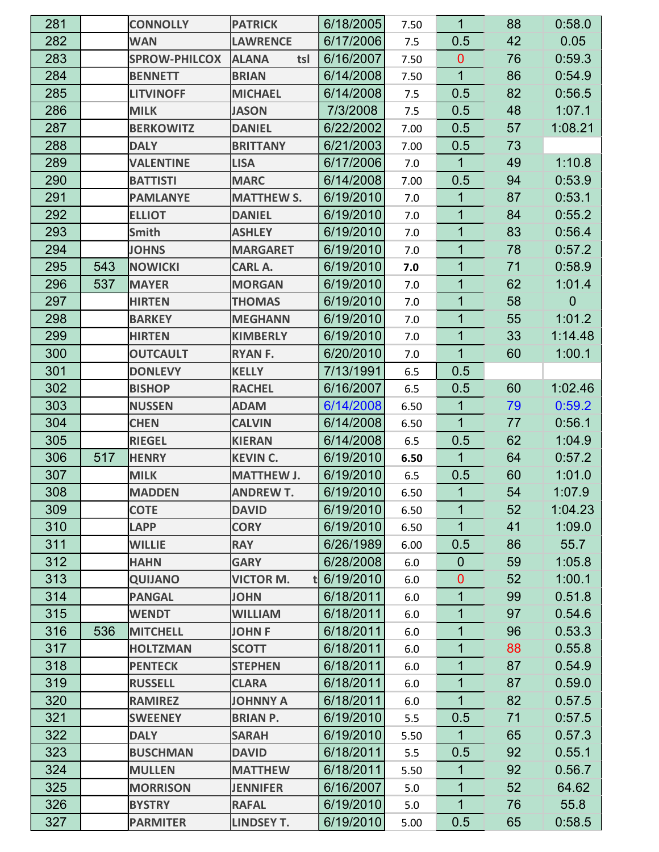| 281 |     | <b>CONNOLLY</b>      | <b>PATRICK</b>         | 6/18/2005 | 7.50    | 1              | 88 | 0.58.0      |
|-----|-----|----------------------|------------------------|-----------|---------|----------------|----|-------------|
| 282 |     | <b>WAN</b>           | <b>LAWRENCE</b>        | 6/17/2006 | 7.5     | 0.5            | 42 | 0.05        |
| 283 |     | <b>SPROW-PHILCOX</b> | <b>ALANA</b><br>tsl    | 6/16/2007 | 7.50    | $\overline{0}$ | 76 | 0:59.3      |
| 284 |     | <b>BENNETT</b>       | <b>BRIAN</b>           | 6/14/2008 | 7.50    | 1              | 86 | 0.54.9      |
| 285 |     | <b>LITVINOFF</b>     | <b>MICHAEL</b>         | 6/14/2008 | 7.5     | 0.5            | 82 | 0:56.5      |
| 286 |     | <b>MILK</b>          | <b>JASON</b>           | 7/3/2008  | 7.5     | 0.5            | 48 | 1:07.1      |
| 287 |     | <b>BERKOWITZ</b>     | <b>DANIEL</b>          | 6/22/2002 | 7.00    | 0.5            | 57 | 1:08.21     |
| 288 |     | <b>DALY</b>          | <b>BRITTANY</b>        | 6/21/2003 | 7.00    | 0.5            | 73 |             |
| 289 |     | <b>VALENTINE</b>     | <b>LISA</b>            | 6/17/2006 | 7.0     | $\mathbf{1}$   | 49 | 1:10.8      |
| 290 |     | <b>BATTISTI</b>      | <b>MARC</b>            | 6/14/2008 | 7.00    | 0.5            | 94 | 0:53.9      |
| 291 |     | <b>PAMLANYE</b>      | <b>MATTHEW S.</b>      | 6/19/2010 | 7.0     | 1              | 87 | 0.53.1      |
| 292 |     | <b>ELLIOT</b>        | <b>DANIEL</b>          | 6/19/2010 | 7.0     | 1              | 84 | 0:55.2      |
| 293 |     | <b>Smith</b>         | <b>ASHLEY</b>          | 6/19/2010 | 7.0     | 1              | 83 | 0:56.4      |
| 294 |     | <b>JOHNS</b>         | <b>MARGARET</b>        | 6/19/2010 | 7.0     | 1              | 78 | 0:57.2      |
| 295 | 543 | <b>NOWICKI</b>       | <b>CARL A.</b>         | 6/19/2010 | 7.0     | $\mathbf{1}$   | 71 | 0:58.9      |
| 296 | 537 | <b>MAYER</b>         | <b>MORGAN</b>          | 6/19/2010 | 7.0     | 1              | 62 | 1:01.4      |
| 297 |     | <b>HIRTEN</b>        | <b>THOMAS</b>          | 6/19/2010 | 7.0     | $\mathbf{1}$   | 58 | $\mathbf 0$ |
| 298 |     | <b>BARKEY</b>        | <b>MEGHANN</b>         | 6/19/2010 | 7.0     | $\mathbf{1}$   | 55 | 1:01.2      |
| 299 |     | <b>HIRTEN</b>        | <b>KIMBERLY</b>        | 6/19/2010 | 7.0     | 1              | 33 | 1:14.48     |
| 300 |     | <b>OUTCAULT</b>      | <b>RYAN F.</b>         | 6/20/2010 | 7.0     | $\mathbf{1}$   | 60 | 1:00.1      |
| 301 |     | <b>DONLEVY</b>       | <b>KELLY</b>           | 7/13/1991 | 6.5     | 0.5            |    |             |
| 302 |     | <b>BISHOP</b>        | <b>RACHEL</b>          | 6/16/2007 | 6.5     | 0.5            | 60 | 1:02.46     |
| 303 |     | <b>NUSSEN</b>        | <b>ADAM</b>            | 6/14/2008 | 6.50    | $\mathbf{1}$   | 79 | 0:59.2      |
| 304 |     | <b>CHEN</b>          | <b>CALVIN</b>          | 6/14/2008 | 6.50    | $\mathbf 1$    | 77 | 0.56.1      |
| 305 |     | <b>RIEGEL</b>        | <b>KIERAN</b>          | 6/14/2008 | 6.5     | 0.5            | 62 | 1:04.9      |
| 306 | 517 | <b>HENRY</b>         | <b>KEVIN C.</b>        | 6/19/2010 | 6.50    | $\mathbf{1}$   | 64 | 0:57.2      |
| 307 |     | <b>MILK</b>          | <b>MATTHEW J.</b>      | 6/19/2010 | 6.5     | 0.5            | 60 | 1:01.0      |
| 308 |     | <b>MADDEN</b>        | <b>ANDREW T.</b>       | 6/19/2010 | 6.50    | $\mathbf{1}$   | 54 | 1:07.9      |
| 309 |     | <b>COTE</b>          | <b>DAVID</b>           | 6/19/2010 | 6.50    | 1              | 52 | 1:04.23     |
| 310 |     | <b>LAPP</b>          | <b>CORY</b>            | 6/19/2010 | 6.50    | $\mathbf{1}$   | 41 | 1:09.0      |
| 311 |     | <b>WILLIE</b>        | <b>RAY</b>             | 6/26/1989 | 6.00    | 0.5            | 86 | 55.7        |
| 312 |     | <b>HAHN</b>          | <b>GARY</b>            | 6/28/2008 | $6.0\,$ | $\mathbf 0$    | 59 | 1:05.8      |
| 313 |     | <b>QUIJANO</b>       | <b>VICTOR M.</b><br>tl | 6/19/2010 | 6.0     | $\overline{0}$ | 52 | 1:00.1      |
| 314 |     | <b>PANGAL</b>        | <b>JOHN</b>            | 6/18/2011 | 6.0     | $\mathbf{1}$   | 99 | 0.51.8      |
| 315 |     | <b>WENDT</b>         | <b>WILLIAM</b>         | 6/18/2011 | 6.0     | $\mathbf 1$    | 97 | 0.54.6      |
| 316 | 536 | <b>MITCHELL</b>      | <b>JOHNF</b>           | 6/18/2011 | 6.0     | $\mathbf 1$    | 96 | 0.53.3      |
| 317 |     | <b>HOLTZMAN</b>      | <b>SCOTT</b>           | 6/18/2011 | 6.0     | $\mathbf{1}$   | 88 | 0.55.8      |
| 318 |     | <b>PENTECK</b>       | <b>STEPHEN</b>         | 6/18/2011 | 6.0     | $\mathbf 1$    | 87 | 0.54.9      |
| 319 |     | <b>RUSSELL</b>       | <b>CLARA</b>           | 6/18/2011 | 6.0     | $\mathbf{1}$   | 87 | 0.59.0      |
| 320 |     | <b>RAMIREZ</b>       | <b>JOHNNY A</b>        | 6/18/2011 | 6.0     | $\mathbf 1$    | 82 | 0.57.5      |
| 321 |     | <b>SWEENEY</b>       | <b>BRIAN P.</b>        | 6/19/2010 | 5.5     | 0.5            | 71 | 0.57.5      |
| 322 |     | <b>DALY</b>          | <b>SARAH</b>           | 6/19/2010 | 5.50    | $\mathbf{1}$   | 65 | 0.57.3      |
| 323 |     | <b>BUSCHMAN</b>      | <b>DAVID</b>           | 6/18/2011 | 5.5     | 0.5            | 92 | 0.55.1      |
| 324 |     | <b>MULLEN</b>        | <b>MATTHEW</b>         | 6/18/2011 | 5.50    | 1              | 92 | 0.56.7      |
| 325 |     | <b>MORRISON</b>      | <b>JENNIFER</b>        | 6/16/2007 | 5.0     | $\mathbf{1}$   | 52 | 64.62       |
| 326 |     | <b>BYSTRY</b>        | <b>RAFAL</b>           | 6/19/2010 | 5.0     | $\mathbf{1}$   | 76 | 55.8        |
| 327 |     | <b>PARMITER</b>      | <b>LINDSEY T.</b>      | 6/19/2010 | 5.00    | 0.5            | 65 | 0.58.5      |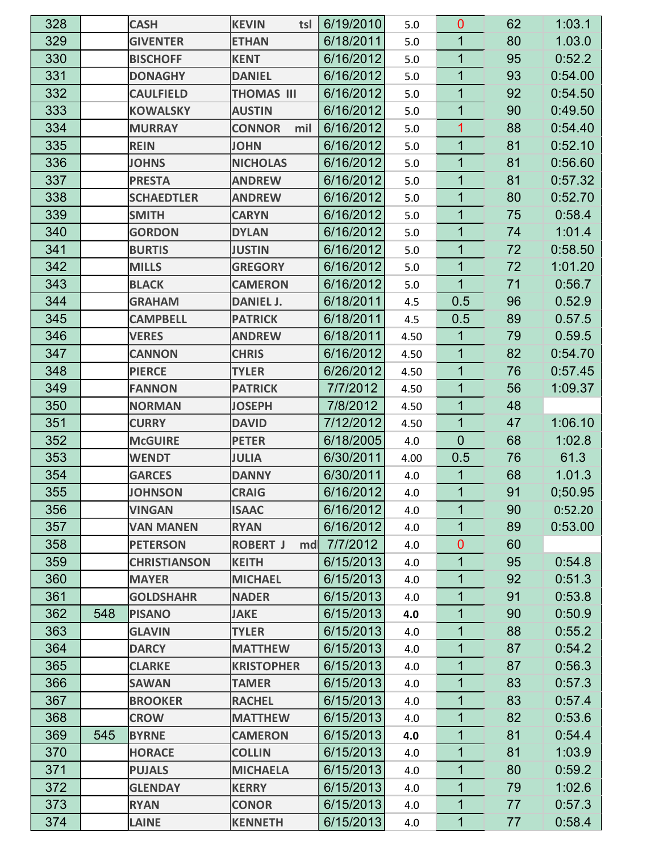| 328 |     | <b>CASH</b>         | <b>KEVIN</b><br>tsl    | 6/19/2010 | 5.0  | $\overline{0}$ | 62 | 1:03.1  |
|-----|-----|---------------------|------------------------|-----------|------|----------------|----|---------|
| 329 |     | <b>GIVENTER</b>     | <b>ETHAN</b>           | 6/18/2011 | 5.0  | 1              | 80 | 1.03.0  |
| 330 |     | <b>BISCHOFF</b>     | <b>KENT</b>            | 6/16/2012 | 5.0  | $\overline{1}$ | 95 | 0:52.2  |
| 331 |     | <b>DONAGHY</b>      | <b>DANIEL</b>          | 6/16/2012 | 5.0  | 1              | 93 | 0:54.00 |
| 332 |     | <b>CAULFIELD</b>    | <b>THOMAS III</b>      | 6/16/2012 | 5.0  | 1              | 92 | 0:54.50 |
| 333 |     | <b>KOWALSKY</b>     | <b>AUSTIN</b>          | 6/16/2012 | 5.0  | $\mathbf 1$    | 90 | 0:49.50 |
| 334 |     | <b>MURRAY</b>       | <b>CONNOR</b><br>mil   | 6/16/2012 | 5.0  | 1              | 88 | 0:54.40 |
| 335 |     | <b>REIN</b>         | <b>JOHN</b>            | 6/16/2012 | 5.0  | 1              | 81 | 0:52.10 |
| 336 |     | <b>JOHNS</b>        | <b>NICHOLAS</b>        | 6/16/2012 | 5.0  | $\overline{1}$ | 81 | 0:56.60 |
| 337 |     | <b>PRESTA</b>       | <b>ANDREW</b>          | 6/16/2012 | 5.0  | 1              | 81 | 0:57.32 |
| 338 |     | <b>SCHAEDTLER</b>   | <b>ANDREW</b>          | 6/16/2012 | 5.0  | 1              | 80 | 0:52.70 |
| 339 |     | <b>SMITH</b>        | <b>CARYN</b>           | 6/16/2012 | 5.0  | $\overline{1}$ | 75 | 0.58.4  |
| 340 |     | <b>GORDON</b>       | <b>DYLAN</b>           | 6/16/2012 | 5.0  | 1              | 74 | 1:01.4  |
| 341 |     | <b>BURTIS</b>       | <b>JUSTIN</b>          | 6/16/2012 | 5.0  | 1              | 72 | 0:58.50 |
| 342 |     | <b>MILLS</b>        | <b>GREGORY</b>         | 6/16/2012 | 5.0  | $\mathbf{1}$   | 72 | 1:01.20 |
| 343 |     | <b>BLACK</b>        | <b>CAMERON</b>         | 6/16/2012 | 5.0  | $\mathbf{1}$   | 71 | 0.56.7  |
| 344 |     | <b>GRAHAM</b>       | <b>DANIEL J.</b>       | 6/18/2011 | 4.5  | 0.5            | 96 | 0.52.9  |
| 345 |     | <b>CAMPBELL</b>     | <b>PATRICK</b>         | 6/18/2011 | 4.5  | 0.5            | 89 | 0.57.5  |
| 346 |     | <b>VERES</b>        | <b>ANDREW</b>          | 6/18/2011 | 4.50 | 1              | 79 | 0.59.5  |
| 347 |     | <b>CANNON</b>       | <b>CHRIS</b>           | 6/16/2012 | 4.50 | 1              | 82 | 0:54.70 |
| 348 |     | <b>PIERCE</b>       | <b>TYLER</b>           | 6/26/2012 | 4.50 | 1              | 76 | 0:57.45 |
| 349 |     | <b>FANNON</b>       | <b>PATRICK</b>         | 7/7/2012  | 4.50 | 1              | 56 | 1:09.37 |
| 350 |     | <b>NORMAN</b>       | <b>JOSEPH</b>          | 7/8/2012  | 4.50 | $\mathbf 1$    | 48 |         |
| 351 |     | <b>CURRY</b>        | <b>DAVID</b>           | 7/12/2012 | 4.50 | 1              | 47 | 1:06.10 |
| 352 |     | <b>McGUIRE</b>      | <b>PETER</b>           | 6/18/2005 | 4.0  | $\mathbf 0$    | 68 | 1:02.8  |
| 353 |     | <b>WENDT</b>        | <b>JULIA</b>           | 6/30/2011 | 4.00 | 0.5            | 76 | 61.3    |
| 354 |     | <b>GARCES</b>       | <b>DANNY</b>           | 6/30/2011 | 4.0  | 1              | 68 | 1.01.3  |
| 355 |     | <b>JOHNSON</b>      | <b>CRAIG</b>           | 6/16/2012 | 4.0  | $\overline{1}$ | 91 | 0,50.95 |
| 356 |     | <b>VINGAN</b>       | <b>ISAAC</b>           | 6/16/2012 | 4.0  | 1              | 90 | 0:52.20 |
| 357 |     | <b>VAN MANEN</b>    | <b>RYAN</b>            | 6/16/2012 | 4.0  | 1              | 89 | 0:53.00 |
| 358 |     | <b>PETERSON</b>     | <b>ROBERT J</b><br>mdl | 7/7/2012  | 4.0  | $\mathbf 0$    | 60 |         |
| 359 |     | <b>CHRISTIANSON</b> | <b>KEITH</b>           | 6/15/2013 | 4.0  | 1              | 95 | 0.54.8  |
| 360 |     | <b>MAYER</b>        | <b>MICHAEL</b>         | 6/15/2013 | 4.0  | 1              | 92 | 0:51.3  |
| 361 |     | <b>GOLDSHAHR</b>    | <b>NADER</b>           | 6/15/2013 | 4.0  | $\mathbf 1$    | 91 | 0:53.8  |
| 362 | 548 | <b>PISANO</b>       | <b>JAKE</b>            | 6/15/2013 | 4.0  | 1              | 90 | 0:50.9  |
| 363 |     | <b>GLAVIN</b>       | <b>TYLER</b>           | 6/15/2013 | 4.0  | 1              | 88 | 0:55.2  |
| 364 |     | <b>DARCY</b>        | <b>MATTHEW</b>         | 6/15/2013 | 4.0  | $\mathbf 1$    | 87 | 0.54.2  |
| 365 |     | <b>CLARKE</b>       | <b>KRISTOPHER</b>      | 6/15/2013 | 4.0  | $\mathbf 1$    | 87 | 0:56.3  |
| 366 |     | <b>SAWAN</b>        | <b>TAMER</b>           | 6/15/2013 | 4.0  | $\mathbf 1$    | 83 | 0.57.3  |
| 367 |     | <b>BROOKER</b>      | <b>RACHEL</b>          | 6/15/2013 | 4.0  | 1              | 83 | 0.57.4  |
| 368 |     | <b>CROW</b>         | <b>MATTHEW</b>         | 6/15/2013 | 4.0  | 1              | 82 | 0:53.6  |
| 369 | 545 | <b>BYRNE</b>        | <b>CAMERON</b>         | 6/15/2013 | 4.0  | 1              | 81 | 0.54.4  |
| 370 |     | <b>HORACE</b>       | <b>COLLIN</b>          | 6/15/2013 | 4.0  | 1              | 81 | 1:03.9  |
| 371 |     | <b>PUJALS</b>       | <b>MICHAELA</b>        | 6/15/2013 | 4.0  | 1              | 80 | 0:59.2  |
| 372 |     | <b>GLENDAY</b>      | <b>KERRY</b>           | 6/15/2013 | 4.0  | $\mathbf{1}$   | 79 | 1:02.6  |
| 373 |     | <b>RYAN</b>         | <b>CONOR</b>           | 6/15/2013 | 4.0  | 1              | 77 | 0.57.3  |
| 374 |     | <b>LAINE</b>        | <b>KENNETH</b>         | 6/15/2013 | 4.0  | $\mathbf{1}$   | 77 | 0.58.4  |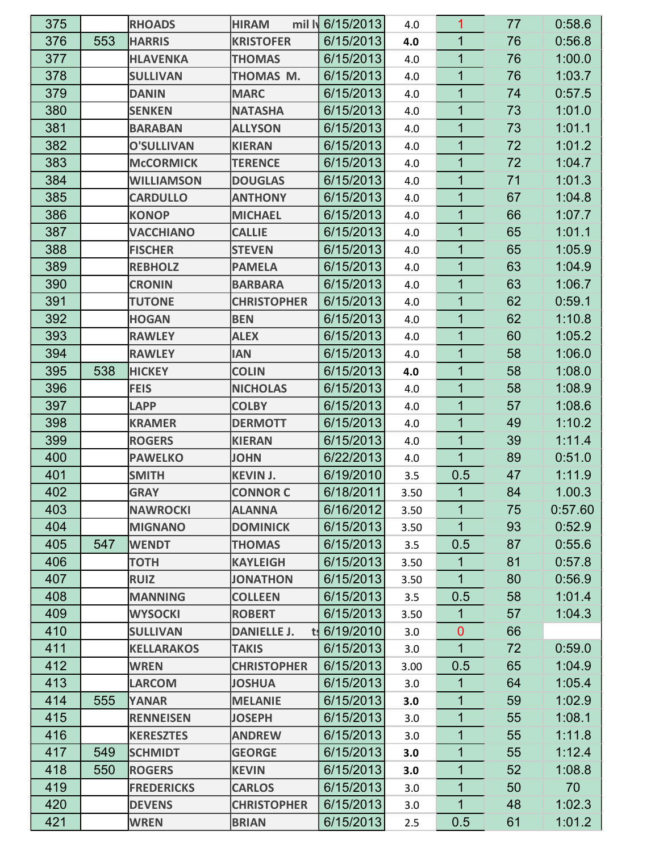| 375 |     | <b>RHOADS</b>     | mil Iy<br><b>HIRAM</b>  | 6/15/2013 | 4.0  | 1              | 77 | 0:58.6  |
|-----|-----|-------------------|-------------------------|-----------|------|----------------|----|---------|
| 376 | 553 | <b>HARRIS</b>     | <b>KRISTOFER</b>        | 6/15/2013 | 4.0  | 1              | 76 | 0:56.8  |
| 377 |     | <b>HLAVENKA</b>   | <b>THOMAS</b>           | 6/15/2013 | 4.0  | 1              | 76 | 1:00.0  |
| 378 |     | <b>SULLIVAN</b>   | THOMAS M.               | 6/15/2013 | 4.0  | 1              | 76 | 1:03.7  |
| 379 |     | <b>DANIN</b>      | <b>MARC</b>             | 6/15/2013 | 4.0  | 1              | 74 | 0.57.5  |
| 380 |     | <b>SENKEN</b>     | <b>NATASHA</b>          | 6/15/2013 | 4.0  | $\overline{1}$ | 73 | 1:01.0  |
| 381 |     | <b>BARABAN</b>    | <b>ALLYSON</b>          | 6/15/2013 | 4.0  | 1              | 73 | 1:01.1  |
| 382 |     | <b>O'SULLIVAN</b> | <b>KIERAN</b>           | 6/15/2013 | 4.0  | 1              | 72 | 1:01.2  |
| 383 |     | <b>McCORMICK</b>  | <b>TERENCE</b>          | 6/15/2013 | 4.0  | 1              | 72 | 1:04.7  |
| 384 |     | <b>WILLIAMSON</b> | <b>DOUGLAS</b>          | 6/15/2013 | 4.0  | 1              | 71 | 1:01.3  |
| 385 |     | <b>CARDULLO</b>   | <b>ANTHONY</b>          | 6/15/2013 | 4.0  | 1              | 67 | 1:04.8  |
| 386 |     | <b>KONOP</b>      | <b>MICHAEL</b>          | 6/15/2013 | 4.0  | 1              | 66 | 1:07.7  |
| 387 |     | <b>VACCHIANO</b>  | <b>CALLIE</b>           | 6/15/2013 | 4.0  | 1              | 65 | 1:01.1  |
| 388 |     | <b>FISCHER</b>    | <b>STEVEN</b>           | 6/15/2013 | 4.0  | 1              | 65 | 1:05.9  |
| 389 |     | <b>REBHOLZ</b>    | <b>PAMELA</b>           | 6/15/2013 | 4.0  | 1              | 63 | 1:04.9  |
| 390 |     | <b>CRONIN</b>     | <b>BARBARA</b>          | 6/15/2013 | 4.0  | 1              | 63 | 1:06.7  |
| 391 |     | <b>TUTONE</b>     | <b>CHRISTOPHER</b>      | 6/15/2013 | 4.0  | 1              | 62 | 0:59.1  |
| 392 |     | <b>HOGAN</b>      | <b>BEN</b>              | 6/15/2013 | 4.0  | $\overline{1}$ | 62 | 1:10.8  |
| 393 |     | <b>RAWLEY</b>     | <b>ALEX</b>             | 6/15/2013 | 4.0  | 1              | 60 | 1:05.2  |
| 394 |     | <b>RAWLEY</b>     | <b>IAN</b>              | 6/15/2013 | 4.0  | 1              | 58 | 1:06.0  |
| 395 | 538 | <b>HICKEY</b>     | <b>COLIN</b>            | 6/15/2013 | 4.0  | 1              | 58 | 1:08.0  |
| 396 |     | <b>FEIS</b>       | <b>NICHOLAS</b>         | 6/15/2013 | 4.0  | 1              | 58 | 1:08.9  |
| 397 |     | <b>LAPP</b>       | <b>COLBY</b>            | 6/15/2013 | 4.0  | 1              | 57 | 1:08.6  |
| 398 |     | <b>KRAMER</b>     | <b>DERMOTT</b>          | 6/15/2013 | 4.0  | 1              | 49 | 1:10.2  |
| 399 |     | <b>ROGERS</b>     | <b>KIERAN</b>           | 6/15/2013 | 4.0  | 1              | 39 | 1:11.4  |
| 400 |     | <b>PAWELKO</b>    | <b>JOHN</b>             | 6/22/2013 | 4.0  | 1              | 89 | 0:51.0  |
| 401 |     | <b>SMITH</b>      | <b>KEVIN J.</b>         | 6/19/2010 | 3.5  | 0.5            | 47 | 1:11.9  |
| 402 |     | <b>GRAY</b>       | <b>CONNOR C</b>         | 6/18/2011 | 3.50 | 1              | 84 | 1.00.3  |
| 403 |     | <b>NAWROCKI</b>   | <b>ALANNA</b>           | 6/16/2012 | 3.50 | 1              | 75 | 0:57.60 |
| 404 |     | <b>MIGNANO</b>    | <b>DOMINICK</b>         | 6/15/2013 | 3.50 | 1              | 93 | 0.52.9  |
| 405 | 547 | <b>WENDT</b>      | <b>THOMAS</b>           | 6/15/2013 | 3.5  | 0.5            | 87 | 0.55.6  |
| 406 |     | <b>TOTH</b>       | <b>KAYLEIGH</b>         | 6/15/2013 | 3.50 | 1              | 81 | 0.57.8  |
| 407 |     | <b>RUIZ</b>       | <b>JONATHON</b>         | 6/15/2013 | 3.50 | $\mathbf{1}$   | 80 | 0:56.9  |
| 408 |     | <b>MANNING</b>    | <b>COLLEEN</b>          | 6/15/2013 | 3.5  | 0.5            | 58 | 1:01.4  |
| 409 |     | <b>WYSOCKI</b>    | <b>ROBERT</b>           | 6/15/2013 | 3.50 | 1              | 57 | 1.04.3  |
| 410 |     | <b>SULLIVAN</b>   | <b>DANIELLE J.</b><br>t | 6/19/2010 | 3.0  | $\overline{0}$ | 66 |         |
| 411 |     | <b>KELLARAKOS</b> | <b>TAKIS</b>            | 6/15/2013 | 3.0  | $\mathbf 1$    | 72 | 0:59.0  |
| 412 |     | <b>WREN</b>       | <b>CHRISTOPHER</b>      | 6/15/2013 | 3.00 | 0.5            | 65 | 1:04.9  |
| 413 |     | <b>LARCOM</b>     | <b>JOSHUA</b>           | 6/15/2013 | 3.0  | $\mathbf{1}$   | 64 | 1:05.4  |
| 414 | 555 | <b>YANAR</b>      | <b>MELANIE</b>          | 6/15/2013 | 3.0  | 1              | 59 | 1:02.9  |
| 415 |     | <b>RENNEISEN</b>  | <b>JOSEPH</b>           | 6/15/2013 | 3.0  | 1              | 55 | 1:08.1  |
| 416 |     | <b>KERESZTES</b>  | <b>ANDREW</b>           | 6/15/2013 | 3.0  | $\overline{1}$ | 55 | 1:11.8  |
| 417 | 549 | <b>SCHMIDT</b>    | <b>GEORGE</b>           | 6/15/2013 | 3.0  | 1              | 55 | 1:12.4  |
| 418 | 550 | <b>ROGERS</b>     | <b>KEVIN</b>            | 6/15/2013 | 3.0  | 1              | 52 | 1:08.8  |
| 419 |     | <b>FREDERICKS</b> | <b>CARLOS</b>           | 6/15/2013 | 3.0  | 1              | 50 | 70      |
| 420 |     | <b>DEVENS</b>     | <b>CHRISTOPHER</b>      | 6/15/2013 | 3.0  | 1              | 48 | 1:02.3  |
| 421 |     | <b>WREN</b>       | <b>BRIAN</b>            | 6/15/2013 | 2.5  | 0.5            | 61 | 1:01.2  |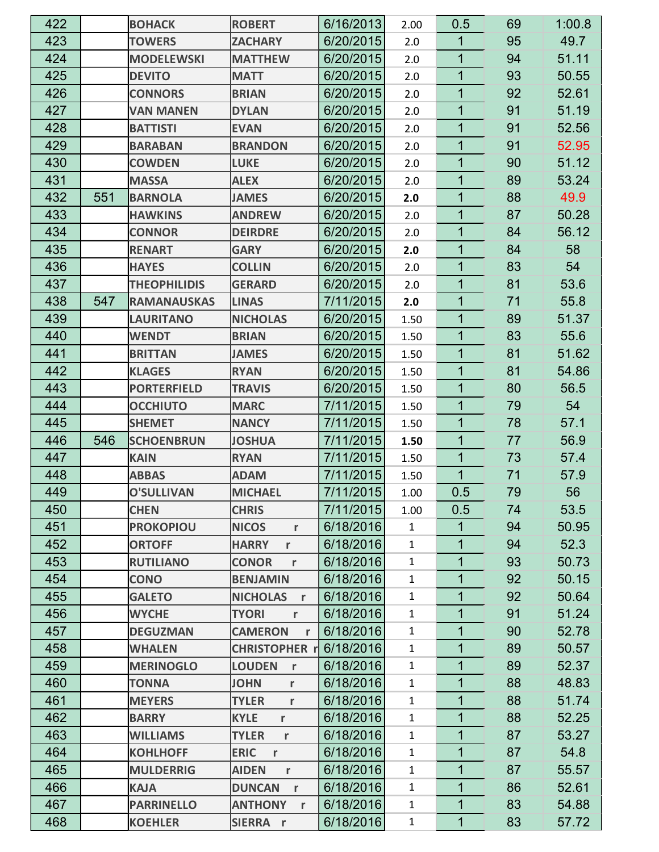| 422 |     | <b>BOHACK</b>       | <b>ROBERT</b>                 | 6/16/2013 | 2.00         | 0.5            | 69 | 1:00.8 |
|-----|-----|---------------------|-------------------------------|-----------|--------------|----------------|----|--------|
| 423 |     | <b>TOWERS</b>       | <b>ZACHARY</b>                | 6/20/2015 | 2.0          | 1              | 95 | 49.7   |
| 424 |     | <b>MODELEWSKI</b>   | <b>MATTHEW</b>                | 6/20/2015 | 2.0          | 1              | 94 | 51.11  |
| 425 |     | <b>DEVITO</b>       | <b>MATT</b>                   | 6/20/2015 | 2.0          | 1              | 93 | 50.55  |
| 426 |     | <b>CONNORS</b>      | <b>BRIAN</b>                  | 6/20/2015 | 2.0          | 1              | 92 | 52.61  |
| 427 |     | <b>VAN MANEN</b>    | <b>DYLAN</b>                  | 6/20/2015 | 2.0          | 1              | 91 | 51.19  |
| 428 |     | <b>BATTISTI</b>     | <b>EVAN</b>                   | 6/20/2015 | 2.0          | 1              | 91 | 52.56  |
| 429 |     | <b>BARABAN</b>      | <b>BRANDON</b>                | 6/20/2015 | 2.0          | 1              | 91 | 52.95  |
| 430 |     | <b>COWDEN</b>       | <b>LUKE</b>                   | 6/20/2015 | 2.0          | 1              | 90 | 51.12  |
| 431 |     | <b>MASSA</b>        | <b>ALEX</b>                   | 6/20/2015 | 2.0          | 1              | 89 | 53.24  |
| 432 | 551 | <b>BARNOLA</b>      | <b>JAMES</b>                  | 6/20/2015 | 2.0          | 1              | 88 | 49.9   |
| 433 |     | <b>HAWKINS</b>      | <b>ANDREW</b>                 | 6/20/2015 | 2.0          | 1              | 87 | 50.28  |
| 434 |     | <b>CONNOR</b>       | <b>DEIRDRE</b>                | 6/20/2015 | 2.0          | 1              | 84 | 56.12  |
| 435 |     | <b>RENART</b>       | <b>GARY</b>                   | 6/20/2015 | 2.0          | 1              | 84 | 58     |
| 436 |     | <b>HAYES</b>        | <b>COLLIN</b>                 | 6/20/2015 | 2.0          | $\mathbf 1$    | 83 | 54     |
| 437 |     | <b>THEOPHILIDIS</b> | <b>GERARD</b>                 | 6/20/2015 | 2.0          | 1              | 81 | 53.6   |
| 438 | 547 | <b>RAMANAUSKAS</b>  | <b>LINAS</b>                  | 7/11/2015 | 2.0          | 1              | 71 | 55.8   |
| 439 |     | <b>LAURITANO</b>    | <b>NICHOLAS</b>               | 6/20/2015 | 1.50         | $\mathbf 1$    | 89 | 51.37  |
| 440 |     | <b>WENDT</b>        | <b>BRIAN</b>                  | 6/20/2015 | 1.50         | 1              | 83 | 55.6   |
| 441 |     | <b>BRITTAN</b>      | <b>JAMES</b>                  | 6/20/2015 | 1.50         | 1              | 81 | 51.62  |
| 442 |     | <b>KLAGES</b>       | <b>RYAN</b>                   | 6/20/2015 | 1.50         | 1              | 81 | 54.86  |
| 443 |     | <b>PORTERFIELD</b>  | <b>TRAVIS</b>                 | 6/20/2015 | 1.50         | 1              | 80 | 56.5   |
| 444 |     | <b>OCCHIUTO</b>     | <b>MARC</b>                   | 7/11/2015 | 1.50         | 1              | 79 | 54     |
| 445 |     | <b>SHEMET</b>       | <b>NANCY</b>                  | 7/11/2015 | 1.50         | 1              | 78 | 57.1   |
| 446 | 546 | <b>SCHOENBRUN</b>   | <b>JOSHUA</b>                 | 7/11/2015 | 1.50         | 1              | 77 | 56.9   |
| 447 |     | <b>KAIN</b>         | <b>RYAN</b>                   | 7/11/2015 | 1.50         | 1              | 73 | 57.4   |
| 448 |     | <b>ABBAS</b>        | <b>ADAM</b>                   | 7/11/2015 | 1.50         | 1              | 71 | 57.9   |
| 449 |     | <b>O'SULLIVAN</b>   | <b>MICHAEL</b>                | 7/11/2015 | 1.00         | 0.5            | 79 | 56     |
| 450 |     | <b>CHEN</b>         | <b>CHRIS</b>                  | 7/11/2015 | 1.00         | 0.5            | 74 | 53.5   |
| 451 |     | <b>PROKOPIOU</b>    | <b>NICOS</b><br>$\mathsf{r}$  | 6/18/2016 | $\mathbf{1}$ | 1              | 94 | 50.95  |
| 452 |     | <b>ORTOFF</b>       | <b>HARRY</b><br>r             | 6/18/2016 | $\mathbf{1}$ | $\mathbf{1}$   | 94 | 52.3   |
| 453 |     | <b>RUTILIANO</b>    | <b>CONOR</b><br>$\mathbf r$   | 6/18/2016 | $\mathbf{1}$ | $\mathbf{1}$   | 93 | 50.73  |
| 454 |     | <b>CONO</b>         | <b>BENJAMIN</b>               | 6/18/2016 | $\mathbf{1}$ | 1              | 92 | 50.15  |
| 455 |     | <b>GALETO</b>       | <b>NICHOLAS</b><br>r          | 6/18/2016 | $\mathbf{1}$ | $\mathbf 1$    | 92 | 50.64  |
| 456 |     | <b>WYCHE</b>        | <b>TYORI</b><br>r             | 6/18/2016 | $\mathbf{1}$ | $\mathbf{1}$   | 91 | 51.24  |
| 457 |     | <b>DEGUZMAN</b>     | <b>CAMERON</b><br>r           | 6/18/2016 | $\mathbf{1}$ | $\overline{1}$ | 90 | 52.78  |
| 458 |     | <b>WHALEN</b>       | <b>CHRISTOPHER 1</b>          | 6/18/2016 | $\mathbf{1}$ | $\overline{1}$ | 89 | 50.57  |
| 459 |     | <b>MERINOGLO</b>    | <b>LOUDEN</b><br>$\mathbf{r}$ | 6/18/2016 | $\mathbf{1}$ | $\mathbf{1}$   | 89 | 52.37  |
| 460 |     | <b>TONNA</b>        | <b>JOHN</b><br>$\mathbf r$    | 6/18/2016 | $\mathbf{1}$ | $\overline{1}$ | 88 | 48.83  |
| 461 |     | <b>MEYERS</b>       | <b>TYLER</b><br>$\mathbf r$   | 6/18/2016 | $\mathbf{1}$ | $\overline{1}$ | 88 | 51.74  |
| 462 |     | <b>BARRY</b>        | <b>KYLE</b><br>r              | 6/18/2016 | $\mathbf 1$  | 1              | 88 | 52.25  |
| 463 |     | <b>WILLIAMS</b>     | <b>TYLER</b><br>$\mathbf r$   | 6/18/2016 | $\mathbf{1}$ | 1              | 87 | 53.27  |
| 464 |     | <b>KOHLHOFF</b>     | <b>ERIC</b><br>$\mathbf{r}$   | 6/18/2016 | $\mathbf{1}$ | $\mathbf 1$    | 87 | 54.8   |
| 465 |     | <b>MULDERRIG</b>    | <b>AIDEN</b><br>r             | 6/18/2016 | $\mathbf{1}$ | $\mathbf{1}$   | 87 | 55.57  |
| 466 |     | <b>KAJA</b>         | <b>DUNCAN</b><br>$\mathbf{r}$ | 6/18/2016 | $\mathbf{1}$ | $\mathbf{1}$   | 86 | 52.61  |
| 467 |     | <b>PARRINELLO</b>   | <b>ANTHONY</b><br>$\mathbf r$ | 6/18/2016 | $\mathbf{1}$ | 1              | 83 | 54.88  |
| 468 |     | <b>KOEHLER</b>      | SIERRA r                      | 6/18/2016 | $\mathbf{1}$ | $\mathbf 1$    | 83 | 57.72  |